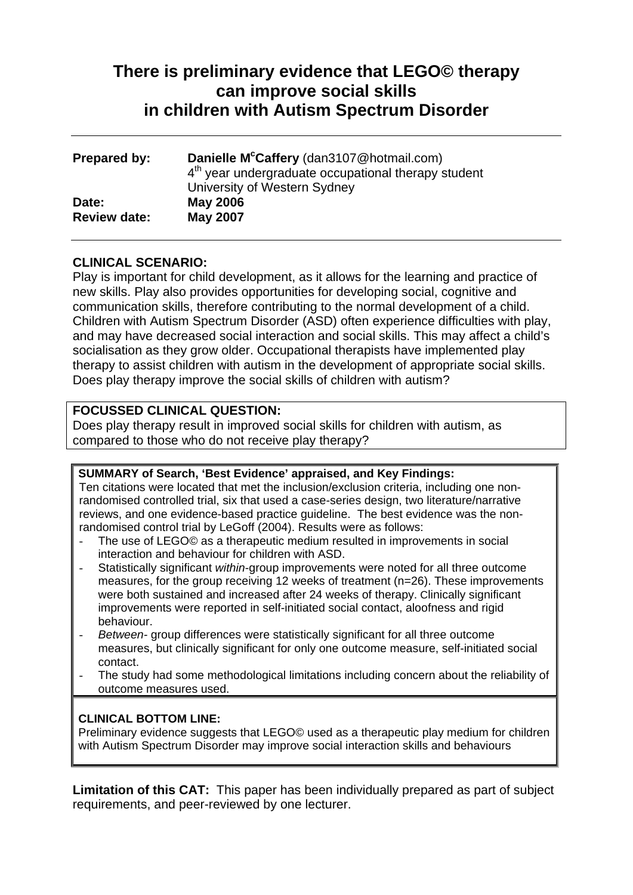# **There is preliminary evidence that LEGO© therapy can improve social skills in children with Autism Spectrum Disorder**

| Danielle M <sup>c</sup> Caffery (dan3107@hotmail.com)<br>4 <sup>th</sup> year undergraduate occupational therapy student<br>University of Western Sydney |
|----------------------------------------------------------------------------------------------------------------------------------------------------------|
| <b>May 2006</b><br><b>May 2007</b>                                                                                                                       |
|                                                                                                                                                          |

#### **CLINICAL SCENARIO:**

Play is important for child development, as it allows for the learning and practice of new skills. Play also provides opportunities for developing social, cognitive and communication skills, therefore contributing to the normal development of a child. Children with Autism Spectrum Disorder (ASD) often experience difficulties with play, and may have decreased social interaction and social skills. This may affect a child's socialisation as they grow older. Occupational therapists have implemented play therapy to assist children with autism in the development of appropriate social skills. Does play therapy improve the social skills of children with autism?

### **FOCUSSED CLINICAL QUESTION:**

Does play therapy result in improved social skills for children with autism, as compared to those who do not receive play therapy?

#### **SUMMARY of Search, 'Best Evidence' appraised, and Key Findings:**

Ten citations were located that met the inclusion/exclusion criteria, including one nonrandomised controlled trial, six that used a case-series design, two literature/narrative reviews, and one evidence-based practice guideline. The best evidence was the nonrandomised control trial by LeGoff (2004). Results were as follows:

- The use of LEGO© as a therapeutic medium resulted in improvements in social interaction and behaviour for children with ASD.
- Statistically significant *within*-group improvements were noted for all three outcome measures, for the group receiving 12 weeks of treatment (n=26). These improvements were both sustained and increased after 24 weeks of therapy. Clinically significant improvements were reported in self-initiated social contact, aloofness and rigid behaviour.
- *Between-* group differences were statistically significant for all three outcome measures, but clinically significant for only one outcome measure, self-initiated social contact.
- The study had some methodological limitations including concern about the reliability of outcome measures used.

#### **CLINICAL BOTTOM LINE:**

Preliminary evidence suggests that LEGO© used as a therapeutic play medium for children with Autism Spectrum Disorder may improve social interaction skills and behaviours

**Limitation of this CAT:** This paper has been individually prepared as part of subject requirements, and peer-reviewed by one lecturer.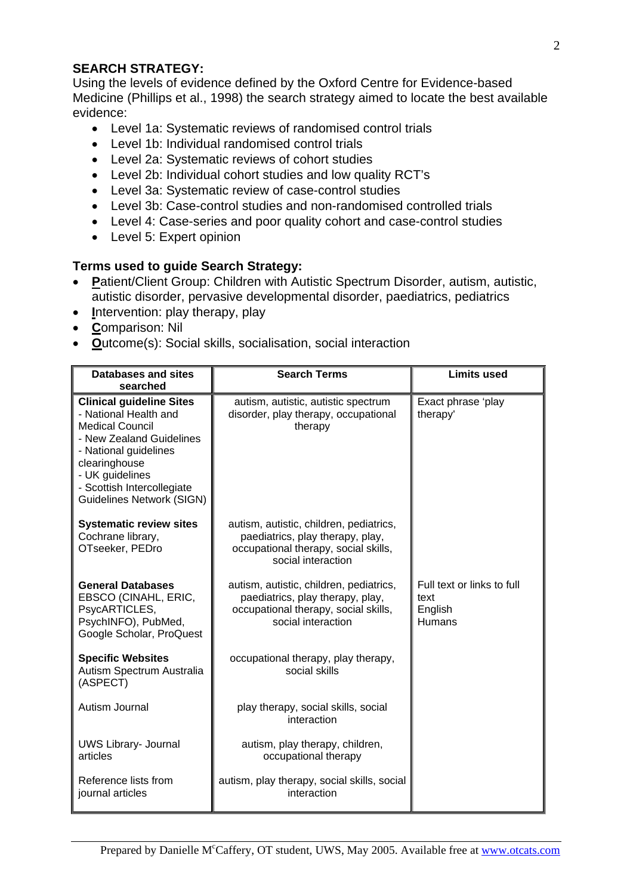### **SEARCH STRATEGY:**

Using the levels of evidence defined by the Oxford Centre for Evidence-based Medicine (Phillips et al., 1998) the search strategy aimed to locate the best available evidence:

- Level 1a: Systematic reviews of randomised control trials
- Level 1b: Individual randomised control trials
- Level 2a: Systematic reviews of cohort studies
- Level 2b: Individual cohort studies and low quality RCT's
- Level 3a: Systematic review of case-control studies
- Level 3b: Case-control studies and non-randomised controlled trials
- Level 4: Case-series and poor quality cohort and case-control studies
- Level 5: Expert opinion

### **Terms used to guide Search Strategy:**

- **P**atient/Client Group: Children with Autistic Spectrum Disorder, autism, autistic, autistic disorder, pervasive developmental disorder, paediatrics, pediatrics
- **Intervention: play therapy, play**
- **C**omparison: Nil
- **O**utcome(s): Social skills, socialisation, social interaction

| <b>Databases and sites</b><br>searched                                                                                                                                                                                                        | <b>Search Terms</b>                                                                                                                       | <b>Limits used</b>                                             |
|-----------------------------------------------------------------------------------------------------------------------------------------------------------------------------------------------------------------------------------------------|-------------------------------------------------------------------------------------------------------------------------------------------|----------------------------------------------------------------|
| <b>Clinical guideline Sites</b><br>- National Health and<br><b>Medical Council</b><br>- New Zealand Guidelines<br>- National guidelines<br>clearinghouse<br>- UK guidelines<br>- Scottish Intercollegiate<br><b>Guidelines Network (SIGN)</b> | autism, autistic, autistic spectrum<br>disorder, play therapy, occupational<br>therapy                                                    | Exact phrase 'play<br>therapy'                                 |
| <b>Systematic review sites</b><br>Cochrane library,<br>OTseeker, PEDro                                                                                                                                                                        | autism, autistic, children, pediatrics,<br>paediatrics, play therapy, play,<br>occupational therapy, social skills,<br>social interaction |                                                                |
| <b>General Databases</b><br>EBSCO (CINAHL, ERIC,<br>PsycARTICLES,<br>PsychINFO), PubMed,<br>Google Scholar, ProQuest                                                                                                                          | autism, autistic, children, pediatrics,<br>paediatrics, play therapy, play,<br>occupational therapy, social skills,<br>social interaction | Full text or links to full<br>text<br>English<br><b>Humans</b> |
| <b>Specific Websites</b><br>Autism Spectrum Australia<br>(ASPECT)                                                                                                                                                                             | occupational therapy, play therapy,<br>social skills                                                                                      |                                                                |
| Autism Journal                                                                                                                                                                                                                                | play therapy, social skills, social<br>interaction                                                                                        |                                                                |
| <b>UWS Library- Journal</b><br>articles                                                                                                                                                                                                       | autism, play therapy, children,<br>occupational therapy                                                                                   |                                                                |
| Reference lists from<br>journal articles                                                                                                                                                                                                      | autism, play therapy, social skills, social<br>interaction                                                                                |                                                                |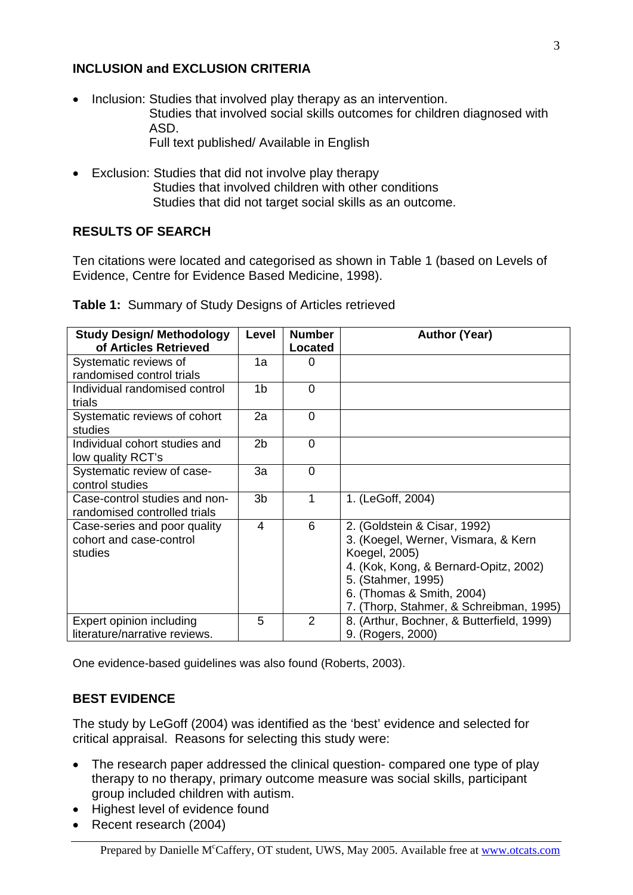### **INCLUSION and EXCLUSION CRITERIA**

Inclusion: Studies that involved play therapy as an intervention. Studies that involved social skills outcomes for children diagnosed with ASD.

Full text published/ Available in English

• Exclusion: Studies that did not involve play therapy Studies that involved children with other conditions Studies that did not target social skills as an outcome.

### **RESULTS OF SEARCH**

Ten citations were located and categorised as shown in Table 1 (based on Levels of Evidence, Centre for Evidence Based Medicine, 1998).

|  | Table 1: Summary of Study Designs of Articles retrieved |  |
|--|---------------------------------------------------------|--|
|  |                                                         |  |

| <b>Study Design/ Methodology</b>                                   | Level          | <b>Number</b>  | <b>Author (Year)</b>                                                                                                                                                                                                        |
|--------------------------------------------------------------------|----------------|----------------|-----------------------------------------------------------------------------------------------------------------------------------------------------------------------------------------------------------------------------|
| of Articles Retrieved                                              |                | <b>Located</b> |                                                                                                                                                                                                                             |
| Systematic reviews of<br>randomised control trials                 | 1a             | 0              |                                                                                                                                                                                                                             |
| Individual randomised control<br>trials                            | 1 <sub>b</sub> | $\Omega$       |                                                                                                                                                                                                                             |
| Systematic reviews of cohort<br>studies                            | 2a             | $\Omega$       |                                                                                                                                                                                                                             |
| Individual cohort studies and<br>low quality RCT's                 | 2 <sub>b</sub> | 0              |                                                                                                                                                                                                                             |
| Systematic review of case-<br>control studies                      | 3a             | $\overline{0}$ |                                                                                                                                                                                                                             |
| Case-control studies and non-<br>randomised controlled trials      | 3 <sub>b</sub> | 1              | 1. (LeGoff, 2004)                                                                                                                                                                                                           |
| Case-series and poor quality<br>cohort and case-control<br>studies | 4              | 6              | 2. (Goldstein & Cisar, 1992)<br>3. (Koegel, Werner, Vismara, & Kern<br>Koegel, 2005)<br>4. (Kok, Kong, & Bernard-Opitz, 2002)<br>5. (Stahmer, 1995)<br>6. (Thomas & Smith, 2004)<br>7. (Thorp, Stahmer, & Schreibman, 1995) |
| Expert opinion including<br>literature/narrative reviews.          | 5              | 2              | 8. (Arthur, Bochner, & Butterfield, 1999)<br>9. (Rogers, 2000)                                                                                                                                                              |

One evidence-based guidelines was also found (Roberts, 2003).

#### **BEST EVIDENCE**

The study by LeGoff (2004) was identified as the 'best' evidence and selected for critical appraisal. Reasons for selecting this study were:

- The research paper addressed the clinical question- compared one type of play therapy to no therapy, primary outcome measure was social skills, participant group included children with autism.
- Highest level of evidence found
- Recent research (2004)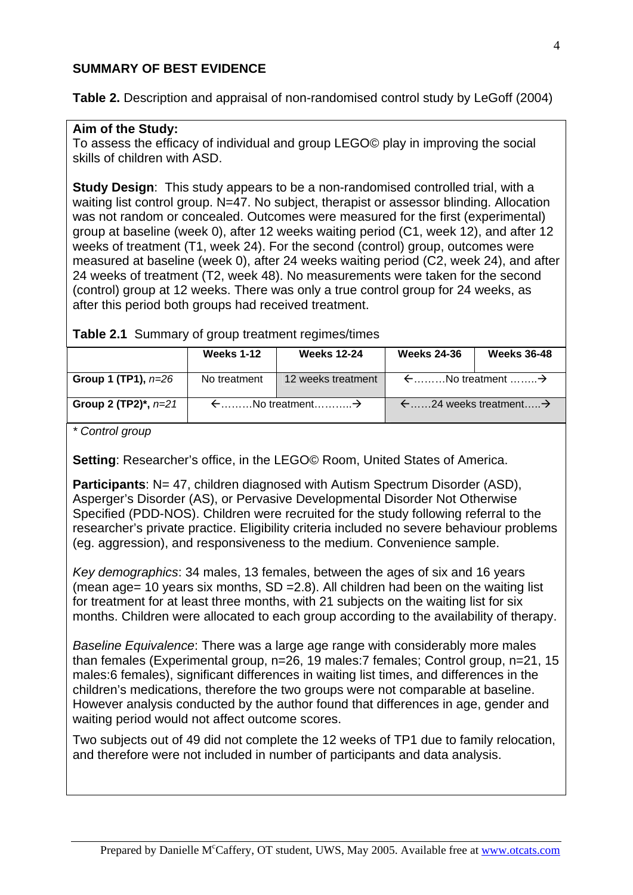### **SUMMARY OF BEST EVIDENCE**

**Table 2.** Description and appraisal of non-randomised control study by LeGoff (2004)

#### **Aim of the Study:**

To assess the efficacy of individual and group LEGO© play in improving the social skills of children with ASD.

**Study Design**: This study appears to be a non-randomised controlled trial, with a waiting list control group. N=47. No subject, therapist or assessor blinding. Allocation was not random or concealed. Outcomes were measured for the first (experimental) group at baseline (week 0), after 12 weeks waiting period (C1, week 12), and after 12 weeks of treatment (T1, week 24). For the second (control) group, outcomes were measured at baseline (week 0), after 24 weeks waiting period (C2, week 24), and after 24 weeks of treatment (T2, week 48). No measurements were taken for the second (control) group at 12 weeks. There was only a true control group for 24 weeks, as after this period both groups had received treatment.

|  |  |  |  | Table 2.1 Summary of group treatment regimes/times |
|--|--|--|--|----------------------------------------------------|
|--|--|--|--|----------------------------------------------------|

|                        | <b>Weeks 1-12</b> | <b>Weeks 12-24</b> | <b>Weeks 24-36</b> | <b>Weeks 36-48</b>                            |
|------------------------|-------------------|--------------------|--------------------|-----------------------------------------------|
| Group 1 (TP1), $n=26$  | No treatment      | 12 weeks treatment |                    | $\leftarrow$ No treatment                     |
| Group 2 (TP2)*, $n=21$ |                   |                    |                    | $\leftarrow$ 24 weeks treatment $\rightarrow$ |

*\* Control group* 

**Setting: Researcher's office, in the LEGO© Room, United States of America.** 

**Participants: N= 47, children diagnosed with Autism Spectrum Disorder (ASD).** Asperger's Disorder (AS), or Pervasive Developmental Disorder Not Otherwise Specified (PDD-NOS). Children were recruited for the study following referral to the researcher's private practice. Eligibility criteria included no severe behaviour problems (eg. aggression), and responsiveness to the medium. Convenience sample.

*Key demographics*: 34 males, 13 females, between the ages of six and 16 years (mean age= 10 years six months,  $SD = 2.8$ ). All children had been on the waiting list for treatment for at least three months, with 21 subjects on the waiting list for six months. Children were allocated to each group according to the availability of therapy.

*Baseline Equivalence*: There was a large age range with considerably more males than females (Experimental group, n=26, 19 males:7 females; Control group, n=21, 15 males:6 females), significant differences in waiting list times, and differences in the children's medications, therefore the two groups were not comparable at baseline. However analysis conducted by the author found that differences in age, gender and waiting period would not affect outcome scores.

Two subjects out of 49 did not complete the 12 weeks of TP1 due to family relocation, and therefore were not included in number of participants and data analysis.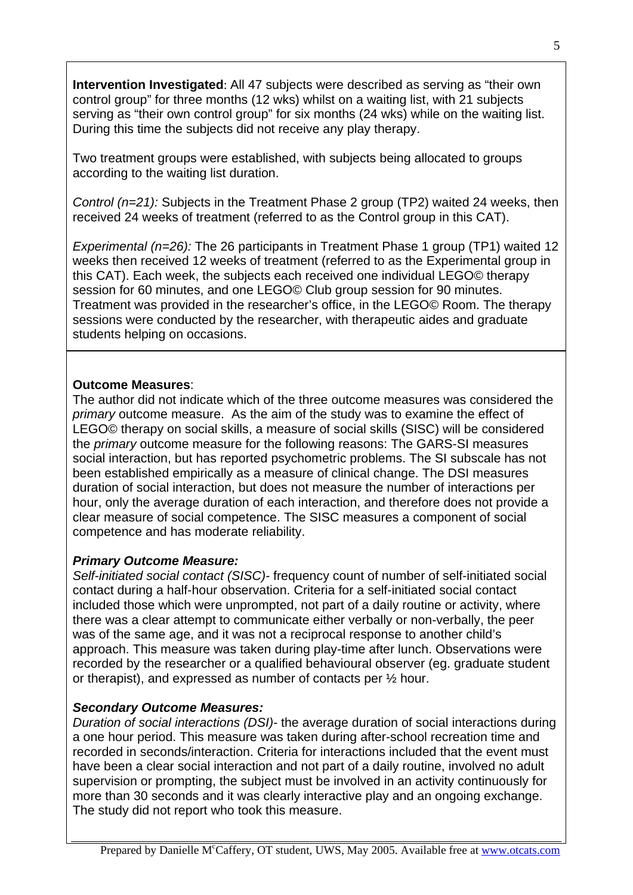**Intervention Investigated**: All 47 subjects were described as serving as "their own control group" for three months (12 wks) whilst on a waiting list, with 21 subjects serving as "their own control group" for six months (24 wks) while on the waiting list. During this time the subjects did not receive any play therapy.

Two treatment groups were established, with subjects being allocated to groups according to the waiting list duration.

*Control (n=21):* Subjects in the Treatment Phase 2 group (TP2) waited 24 weeks, then received 24 weeks of treatment (referred to as the Control group in this CAT).

*Experimental (n=26):* The 26 participants in Treatment Phase 1 group (TP1) waited 12 weeks then received 12 weeks of treatment (referred to as the Experimental group in this CAT). Each week, the subjects each received one individual LEGO© therapy session for 60 minutes, and one LEGO© Club group session for 90 minutes. Treatment was provided in the researcher's office, in the LEGO© Room. The therapy sessions were conducted by the researcher, with therapeutic aides and graduate students helping on occasions.

#### **Outcome Measures**:

The author did not indicate which of the three outcome measures was considered the *primary* outcome measure. As the aim of the study was to examine the effect of LEGO© therapy on social skills, a measure of social skills (SISC) will be considered the *primary* outcome measure for the following reasons: The GARS-SI measures social interaction, but has reported psychometric problems. The SI subscale has not been established empirically as a measure of clinical change. The DSI measures duration of social interaction, but does not measure the number of interactions per hour, only the average duration of each interaction, and therefore does not provide a clear measure of social competence. The SISC measures a component of social competence and has moderate reliability.

#### *Primary Outcome Measure:*

*Self-initiated social contact (SISC)-* frequency count of number of self-initiated social contact during a half-hour observation. Criteria for a self-initiated social contact included those which were unprompted, not part of a daily routine or activity, where there was a clear attempt to communicate either verbally or non-verbally, the peer was of the same age, and it was not a reciprocal response to another child's approach. This measure was taken during play-time after lunch. Observations were recorded by the researcher or a qualified behavioural observer (eg. graduate student or therapist), and expressed as number of contacts per ½ hour.

#### *Secondary Outcome Measures:*

*Duration of social interactions (DSI)-* the average duration of social interactions during a one hour period. This measure was taken during after-school recreation time and recorded in seconds/interaction. Criteria for interactions included that the event must have been a clear social interaction and not part of a daily routine, involved no adult supervision or prompting, the subject must be involved in an activity continuously for more than 30 seconds and it was clearly interactive play and an ongoing exchange. The study did not report who took this measure.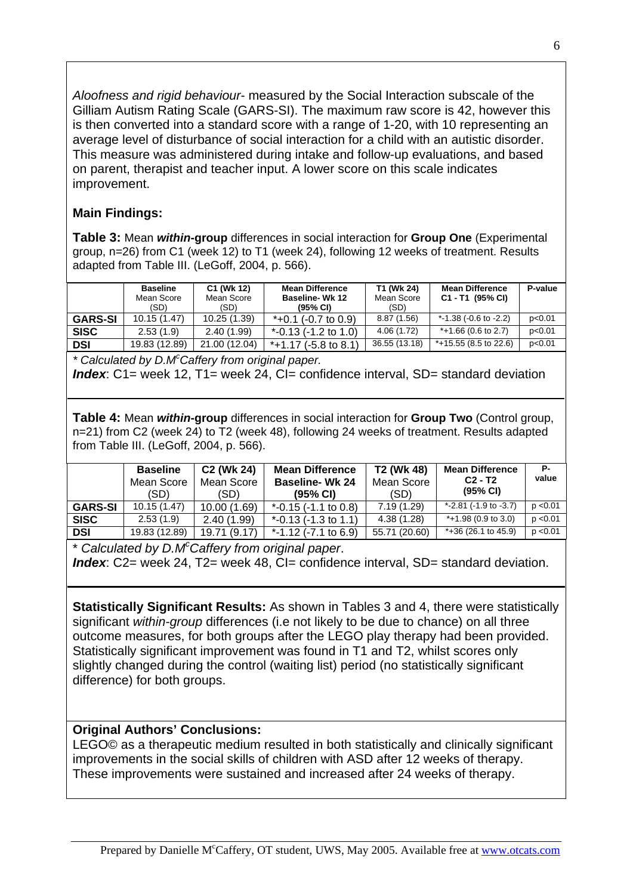*Aloofness and rigid behaviour-* measured by the Social Interaction subscale of the Gilliam Autism Rating Scale (GARS-SI). The maximum raw score is 42, however this is then converted into a standard score with a range of 1-20, with 10 representing an average level of disturbance of social interaction for a child with an autistic disorder. This measure was administered during intake and follow-up evaluations, and based on parent, therapist and teacher input. A lower score on this scale indicates improvement.

# **Main Findings:**

**Table 3:** Mean *within***-group** differences in social interaction for **Group One** (Experimental group, n=26) from C1 (week 12) to T1 (week 24), following 12 weeks of treatment. Results adapted from Table III. (LeGoff, 2004, p. 566).

|                | <b>Baseline</b><br>Mean Score<br>(SD) | C1 (Wk 12)<br>Mean Score<br>(SD) | <b>Mean Difference</b><br><b>Baseline-Wk 12</b><br>$(95\% \, \text{Cl})$ | T1 (Wk 24)<br>Mean Score<br>(SD) | <b>Mean Difference</b><br>C1 - T1 (95% CI) | P-value |
|----------------|---------------------------------------|----------------------------------|--------------------------------------------------------------------------|----------------------------------|--------------------------------------------|---------|
| <b>GARS-SI</b> | 10.15(1.47)                           | 10.25 (1.39)                     | $*+0.1$ (-0.7 to 0.9)                                                    | 8.87(1.56)                       | *-1.38 (-0.6 to -2.2)                      | p<0.01  |
| <b>SISC</b>    | 2.53(1.9)                             | 2.40(1.99)                       | $*$ -0.13 (-1.2 to 1.0)                                                  | 4.06(1.72)                       | $*+1.66$ (0.6 to 2.7)                      | p<0.01  |
| <b>DSI</b>     | 19.83 (12.89)                         | 21.00 (12.04)                    | $*+1.17$ (-5.8 to 8.1)                                                   | 36.55 (13.18)                    | *+15.55 (8.5 to 22.6)                      | p<0.01  |

*\* Calculated by D.M<sup>c</sup> Caffery from original paper. Index*: C1= week 12, T1= week 24, CI= confidence interval, SD= standard deviation

**Table 4:** Mean *within***-group** differences in social interaction for **Group Two** (Control group, n=21) from C2 (week 24) to T2 (week 48), following 24 weeks of treatment. Results adapted from Table III. (LeGoff, 2004, p. 566).

|                | <b>Baseline</b><br>Mean Score<br>(SD) | C <sub>2</sub> (Wk 24)<br>Mean Score<br>(SD) | <b>Mean Difference</b><br><b>Baseline- Wk 24</b><br>$(95% \, \text{Cl})$ | T2 (Wk 48)<br>Mean Score<br>(SD) | <b>Mean Difference</b><br>$C2 - T2$<br>$(95% \, \text{Cl})$ | Р-<br>value |
|----------------|---------------------------------------|----------------------------------------------|--------------------------------------------------------------------------|----------------------------------|-------------------------------------------------------------|-------------|
| <b>GARS-SI</b> | 10.15(1.47)                           | 10.00 (1.69)                                 | $*$ -0.15 (-1.1 to 0.8)                                                  | 7.19(1.29)                       | $*$ -2.81 (-1.9 to -3.7)                                    | p < 0.01    |
| <b>SISC</b>    | 2.53(1.9)                             | 2.40(1.99)                                   | $*$ -0.13 (-1.3 to 1.1)                                                  | 4.38 (1.28)                      | $*+1.98$ (0.9 to 3.0)                                       | p < 0.01    |
| <b>DSI</b>     | 19.83 (12.89)                         | 19.71 (9.17)                                 | *-1.12 (-7.1 to 6.9)                                                     | 55.71 (20.60)                    | $*+36$ (26.1 to 45.9)                                       | p < 0.01    |

\* *Calculated by D.Mc Caffery from original paper*.

*Index*: C2= week 24, T2= week 48, CI= confidence interval, SD= standard deviation.

**Statistically Significant Results:** As shown in Tables 3 and 4, there were statistically significant *within-group* differences (i.e not likely to be due to chance) on all three outcome measures, for both groups after the LEGO play therapy had been provided. Statistically significant improvement was found in T1 and T2, whilst scores only slightly changed during the control (waiting list) period (no statistically significant difference) for both groups.

#### **Original Authors' Conclusions:**

LEGO© as a therapeutic medium resulted in both statistically and clinically significant improvements in the social skills of children with ASD after 12 weeks of therapy. These improvements were sustained and increased after 24 weeks of therapy.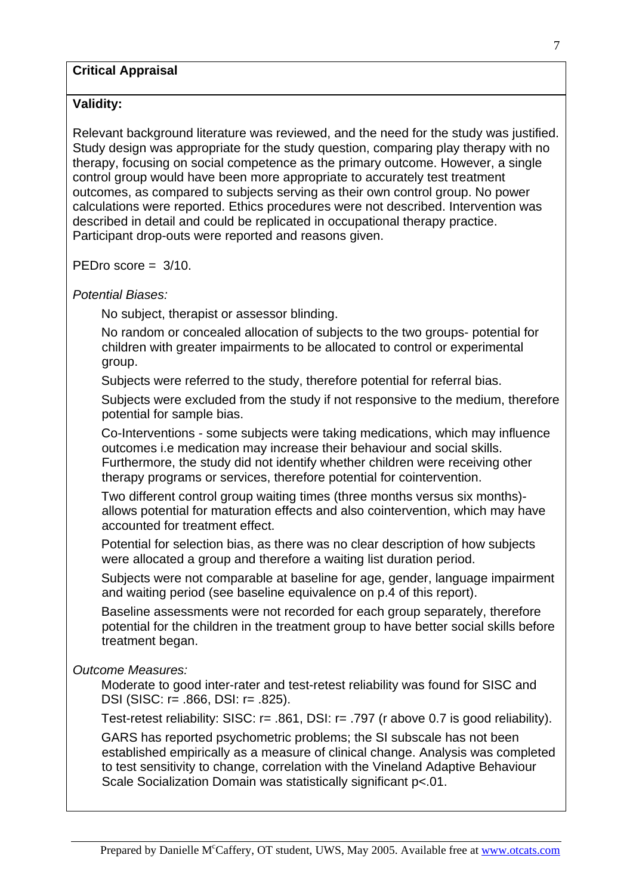### **Critical Appraisal**

#### **Validity:**

Relevant background literature was reviewed, and the need for the study was justified. Study design was appropriate for the study question, comparing play therapy with no therapy, focusing on social competence as the primary outcome. However, a single control group would have been more appropriate to accurately test treatment outcomes, as compared to subjects serving as their own control group. No power calculations were reported. Ethics procedures were not described. Intervention was described in detail and could be replicated in occupational therapy practice. Participant drop-outs were reported and reasons given.

PEDro score  $= 3/10$ .

#### *Potential Biases:*

No subject, therapist or assessor blinding.

No random or concealed allocation of subjects to the two groups- potential for children with greater impairments to be allocated to control or experimental group.

Subjects were referred to the study, therefore potential for referral bias.

 Subjects were excluded from the study if not responsive to the medium, therefore potential for sample bias.

 Co-Interventions - some subjects were taking medications, which may influence outcomes i.e medication may increase their behaviour and social skills. Furthermore, the study did not identify whether children were receiving other therapy programs or services, therefore potential for cointervention.

 Two different control group waiting times (three months versus six months) allows potential for maturation effects and also cointervention, which may have accounted for treatment effect.

 Potential for selection bias, as there was no clear description of how subjects were allocated a group and therefore a waiting list duration period.

 Subjects were not comparable at baseline for age, gender, language impairment and waiting period (see baseline equivalence on p.4 of this report).

 Baseline assessments were not recorded for each group separately, therefore potential for the children in the treatment group to have better social skills before treatment began.

*Outcome Measures:* 

Moderate to good inter-rater and test-retest reliability was found for SISC and DSI (SISC: r= .866, DSI: r= .825).

Test-retest reliability: SISC: r= .861, DSI: r= .797 (r above 0.7 is good reliability).

 GARS has reported psychometric problems; the SI subscale has not been established empirically as a measure of clinical change. Analysis was completed to test sensitivity to change, correlation with the Vineland Adaptive Behaviour Scale Socialization Domain was statistically significant p<.01.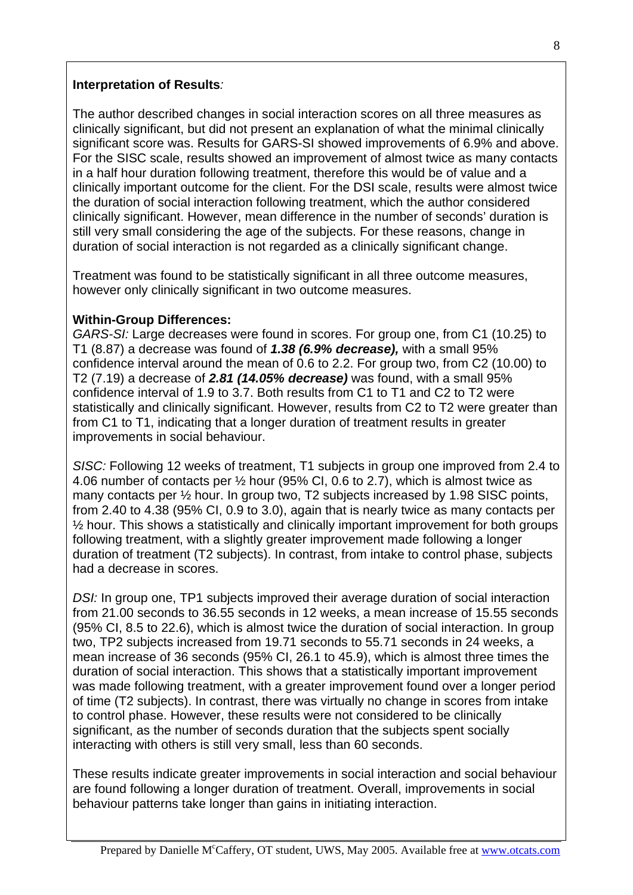#### **Interpretation of Results***:*

The author described changes in social interaction scores on all three measures as clinically significant, but did not present an explanation of what the minimal clinically significant score was. Results for GARS-SI showed improvements of 6.9% and above. For the SISC scale, results showed an improvement of almost twice as many contacts in a half hour duration following treatment, therefore this would be of value and a clinically important outcome for the client. For the DSI scale, results were almost twice the duration of social interaction following treatment, which the author considered clinically significant. However, mean difference in the number of seconds' duration is still very small considering the age of the subjects. For these reasons, change in duration of social interaction is not regarded as a clinically significant change.

Treatment was found to be statistically significant in all three outcome measures, however only clinically significant in two outcome measures.

#### **Within-Group Differences:**

*GARS-SI:* Large decreases were found in scores. For group one, from C1 (10.25) to T1 (8.87) a decrease was found of *1.38 (6.9% decrease),* with a small 95% confidence interval around the mean of 0.6 to 2.2. For group two, from C2 (10.00) to T2 (7.19) a decrease of *2.81 (14.05% decrease)* was found, with a small 95% confidence interval of 1.9 to 3.7. Both results from C1 to T1 and C2 to T2 were statistically and clinically significant. However, results from C2 to T2 were greater than from C1 to T1, indicating that a longer duration of treatment results in greater improvements in social behaviour.

*SISC:* Following 12 weeks of treatment, T1 subjects in group one improved from 2.4 to 4.06 number of contacts per ½ hour (95% CI, 0.6 to 2.7), which is almost twice as many contacts per  $\frac{1}{2}$  hour. In group two, T2 subjects increased by 1.98 SISC points, from 2.40 to 4.38 (95% CI, 0.9 to 3.0), again that is nearly twice as many contacts per ½ hour. This shows a statistically and clinically important improvement for both groups following treatment, with a slightly greater improvement made following a longer duration of treatment (T2 subjects). In contrast, from intake to control phase, subjects had a decrease in scores.

*DSI:* In group one, TP1 subjects improved their average duration of social interaction from 21.00 seconds to 36.55 seconds in 12 weeks, a mean increase of 15.55 seconds (95% CI, 8.5 to 22.6), which is almost twice the duration of social interaction. In group two, TP2 subjects increased from 19.71 seconds to 55.71 seconds in 24 weeks, a mean increase of 36 seconds (95% CI, 26.1 to 45.9), which is almost three times the duration of social interaction. This shows that a statistically important improvement was made following treatment, with a greater improvement found over a longer period of time (T2 subjects). In contrast, there was virtually no change in scores from intake to control phase. However, these results were not considered to be clinically significant, as the number of seconds duration that the subjects spent socially interacting with others is still very small, less than 60 seconds.

These results indicate greater improvements in social interaction and social behaviour are found following a longer duration of treatment. Overall, improvements in social behaviour patterns take longer than gains in initiating interaction.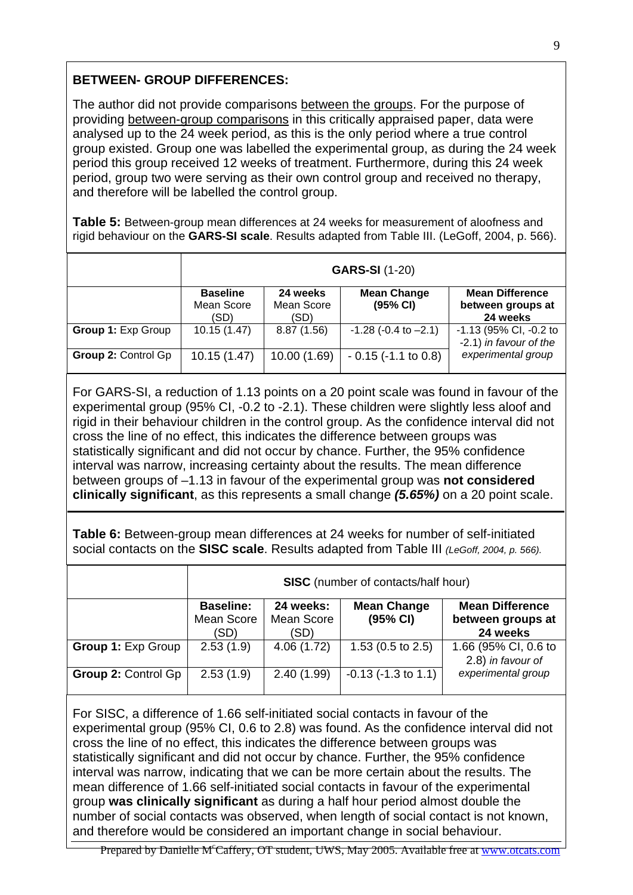# **BETWEEN- GROUP DIFFERENCES:**

The author did not provide comparisons between the groups. For the purpose of providing between-group comparisons in this critically appraised paper, data were analysed up to the 24 week period, as this is the only period where a true control group existed. Group one was labelled the experimental group, as during the 24 week period this group received 12 weeks of treatment. Furthermore, during this 24 week period, group two were serving as their own control group and received no therapy, and therefore will be labelled the control group.

**Table 5:** Between-group mean differences at 24 weeks for measurement of aloofness and rigid behaviour on the **GARS-SI scale**. Results adapted from Table III. (LeGoff, 2004, p. 566).

|                            | <b>GARS-SI (1-20)</b>                 |                                |                                |                                                         |  |  |
|----------------------------|---------------------------------------|--------------------------------|--------------------------------|---------------------------------------------------------|--|--|
|                            | <b>Baseline</b><br>Mean Score<br>(SD) | 24 weeks<br>Mean Score<br>(SD) | <b>Mean Change</b><br>(95% CI) | <b>Mean Difference</b><br>between groups at<br>24 weeks |  |  |
| Group 1: Exp Group         | 10.15(1.47)                           | 8.87(1.56)                     | $-1.28$ ( $-0.4$ to $-2.1$ )   | -1.13 (95% CI, -0.2 to<br>-2.1) in favour of the        |  |  |
| <b>Group 2: Control Gp</b> | 10.15(1.47)                           | 10.00 (1.69)                   | $-0.15$ ( $-1.1$ to 0.8)       | experimental group                                      |  |  |

For GARS-SI, a reduction of 1.13 points on a 20 point scale was found in favour of the experimental group (95% CI, -0.2 to -2.1). These children were slightly less aloof and rigid in their behaviour children in the control group. As the confidence interval did not cross the line of no effect, this indicates the difference between groups was statistically significant and did not occur by chance. Further, the 95% confidence interval was narrow, increasing certainty about the results. The mean difference between groups of –1.13 in favour of the experimental group was **not considered clinically significant**, as this represents a small change *(5.65%)* on a 20 point scale.

**Table 6:** Between-group mean differences at 24 weeks for number of self-initiated social contacts on the **SISC scale**. Results adapted from Table III *(LeGoff, 2004, p. 566).* 

|                            | <b>SISC</b> (number of contacts/half hour) |                         |                                |                                             |  |  |
|----------------------------|--------------------------------------------|-------------------------|--------------------------------|---------------------------------------------|--|--|
|                            | <b>Baseline:</b><br>Mean Score             | 24 weeks:<br>Mean Score | <b>Mean Change</b><br>(95% CI) | <b>Mean Difference</b><br>between groups at |  |  |
|                            | (SD)                                       | (SD)                    |                                | 24 weeks                                    |  |  |
| <b>Group 1: Exp Group</b>  | 2.53(1.9)                                  | 4.06(1.72)              | 1.53 $(0.5$ to 2.5)            | 1.66 (95% CI, 0.6 to<br>2.8) in favour of   |  |  |
| <b>Group 2: Control Gp</b> | 2.53(1.9)                                  | 2.40(1.99)              | $-0.13$ ( $-1.3$ to 1.1)       | experimental group                          |  |  |

For SISC, a difference of 1.66 self-initiated social contacts in favour of the experimental group (95% CI, 0.6 to 2.8) was found. As the confidence interval did not cross the line of no effect, this indicates the difference between groups was statistically significant and did not occur by chance. Further, the 95% confidence interval was narrow, indicating that we can be more certain about the results. The mean difference of 1.66 self-initiated social contacts in favour of the experimental group **was clinically significant** as during a half hour period almost double the number of social contacts was observed, when length of social contact is not known, and therefore would be considered an important change in social behaviour.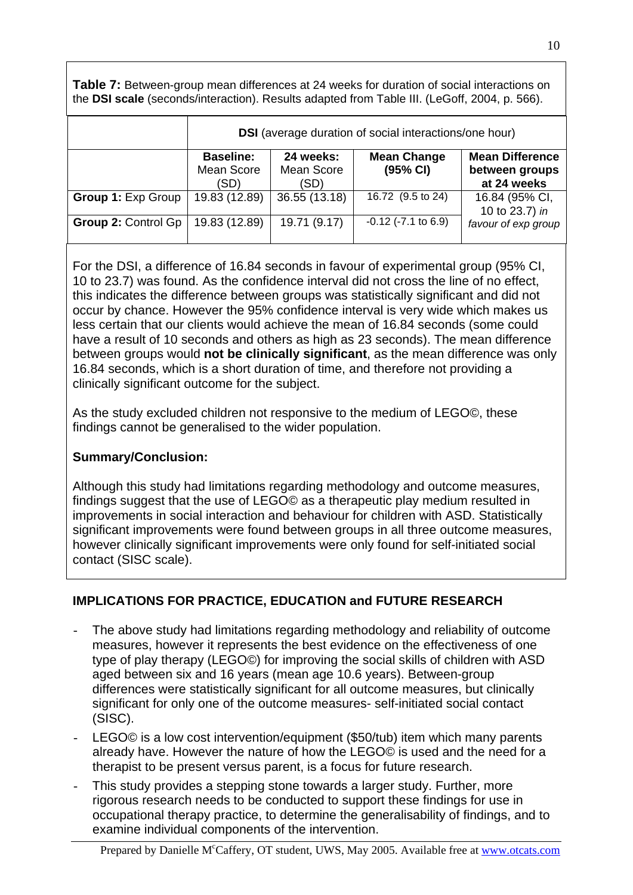**Table 7:** Between-group mean differences at 24 weeks for duration of social interactions on the **DSI scale** (seconds/interaction). Results adapted from Table III. (LeGoff, 2004, p. 566).

|                            | <b>DSI</b> (average duration of social interactions/one hour) |                                 |                                |                                                         |  |  |
|----------------------------|---------------------------------------------------------------|---------------------------------|--------------------------------|---------------------------------------------------------|--|--|
|                            | <b>Baseline:</b><br><b>Mean Score</b><br>(SD)                 | 24 weeks:<br>Mean Score<br>(SD) | <b>Mean Change</b><br>(95% CI) | <b>Mean Difference</b><br>between groups<br>at 24 weeks |  |  |
| <b>Group 1: Exp Group</b>  | 19.83 (12.89)                                                 | 36.55 (13.18)                   | 16.72 (9.5 to 24)              | 16.84 (95% CI,<br>10 to 23.7) in                        |  |  |
| <b>Group 2: Control Gp</b> | 19.83 (12.89)                                                 | 19.71 (9.17)                    | $-0.12$ ( $-7.1$ to 6.9)       | favour of exp group                                     |  |  |

For the DSI, a difference of 16.84 seconds in favour of experimental group (95% CI, 10 to 23.7) was found. As the confidence interval did not cross the line of no effect, this indicates the difference between groups was statistically significant and did not occur by chance. However the 95% confidence interval is very wide which makes us less certain that our clients would achieve the mean of 16.84 seconds (some could have a result of 10 seconds and others as high as 23 seconds). The mean difference between groups would **not be clinically significant**, as the mean difference was only 16.84 seconds, which is a short duration of time, and therefore not providing a clinically significant outcome for the subject.

As the study excluded children not responsive to the medium of LEGO©, these findings cannot be generalised to the wider population.

### **Summary/Conclusion:**

Although this study had limitations regarding methodology and outcome measures, findings suggest that the use of LEGO© as a therapeutic play medium resulted in improvements in social interaction and behaviour for children with ASD. Statistically significant improvements were found between groups in all three outcome measures, however clinically significant improvements were only found for self-initiated social contact (SISC scale).

# **IMPLICATIONS FOR PRACTICE, EDUCATION and FUTURE RESEARCH**

- The above study had limitations regarding methodology and reliability of outcome measures, however it represents the best evidence on the effectiveness of one type of play therapy (LEGO©) for improving the social skills of children with ASD aged between six and 16 years (mean age 10.6 years). Between-group differences were statistically significant for all outcome measures, but clinically significant for only one of the outcome measures- self-initiated social contact (SISC).
- LEGO© is a low cost intervention/equipment (\$50/tub) item which many parents already have. However the nature of how the LEGO© is used and the need for a therapist to be present versus parent, is a focus for future research.
- This study provides a stepping stone towards a larger study. Further, more rigorous research needs to be conducted to support these findings for use in occupational therapy practice, to determine the generalisability of findings, and to examine individual components of the intervention.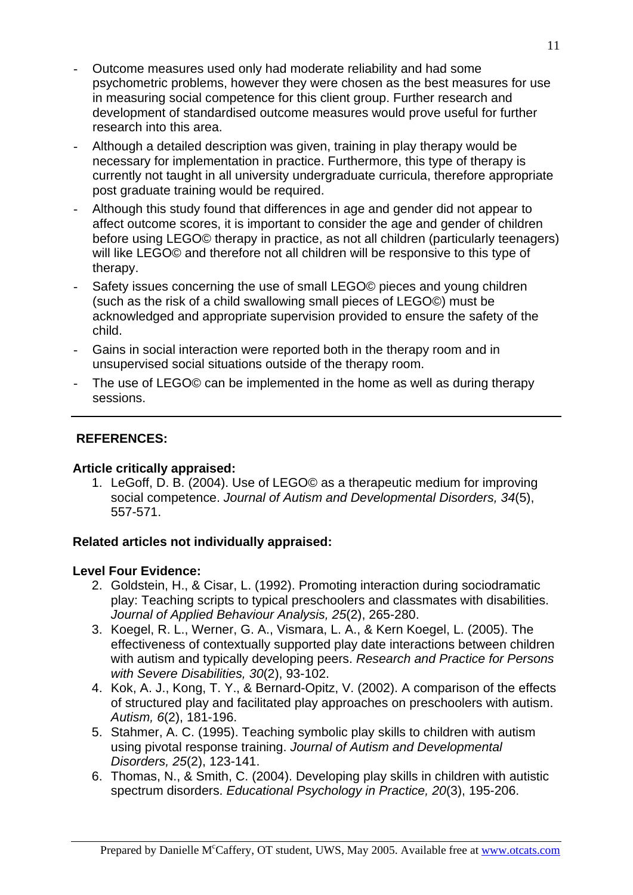- Outcome measures used only had moderate reliability and had some psychometric problems, however they were chosen as the best measures for use in measuring social competence for this client group. Further research and development of standardised outcome measures would prove useful for further research into this area.
- Although a detailed description was given, training in play therapy would be necessary for implementation in practice. Furthermore, this type of therapy is currently not taught in all university undergraduate curricula, therefore appropriate post graduate training would be required.
- Although this study found that differences in age and gender did not appear to affect outcome scores, it is important to consider the age and gender of children before using LEGO© therapy in practice, as not all children (particularly teenagers) will like LEGO© and therefore not all children will be responsive to this type of therapy.
- Safety issues concerning the use of small LEGO© pieces and young children (such as the risk of a child swallowing small pieces of LEGO©) must be acknowledged and appropriate supervision provided to ensure the safety of the child.
- Gains in social interaction were reported both in the therapy room and in unsupervised social situations outside of the therapy room.
- The use of LEGO© can be implemented in the home as well as during therapy sessions.

# **REFERENCES:**

### **Article critically appraised:**

1. LeGoff, D. B. (2004). Use of LEGO© as a therapeutic medium for improving social competence. *Journal of Autism and Developmental Disorders, 34*(5), 557-571.

### **Related articles not individually appraised:**

### **Level Four Evidence:**

- 2. Goldstein, H., & Cisar, L. (1992). Promoting interaction during sociodramatic play: Teaching scripts to typical preschoolers and classmates with disabilities. *Journal of Applied Behaviour Analysis, 25*(2), 265-280.
- 3. Koegel, R. L., Werner, G. A., Vismara, L. A., & Kern Koegel, L. (2005). The effectiveness of contextually supported play date interactions between children with autism and typically developing peers. *Research and Practice for Persons with Severe Disabilities, 30*(2), 93-102.
- 4. Kok, A. J., Kong, T. Y., & Bernard-Opitz, V. (2002). A comparison of the effects of structured play and facilitated play approaches on preschoolers with autism. *Autism, 6*(2), 181-196.
- 5. Stahmer, A. C. (1995). Teaching symbolic play skills to children with autism using pivotal response training. *Journal of Autism and Developmental Disorders, 25*(2), 123-141.
- 6. Thomas, N., & Smith, C. (2004). Developing play skills in children with autistic spectrum disorders. *Educational Psychology in Practice, 20*(3), 195-206.